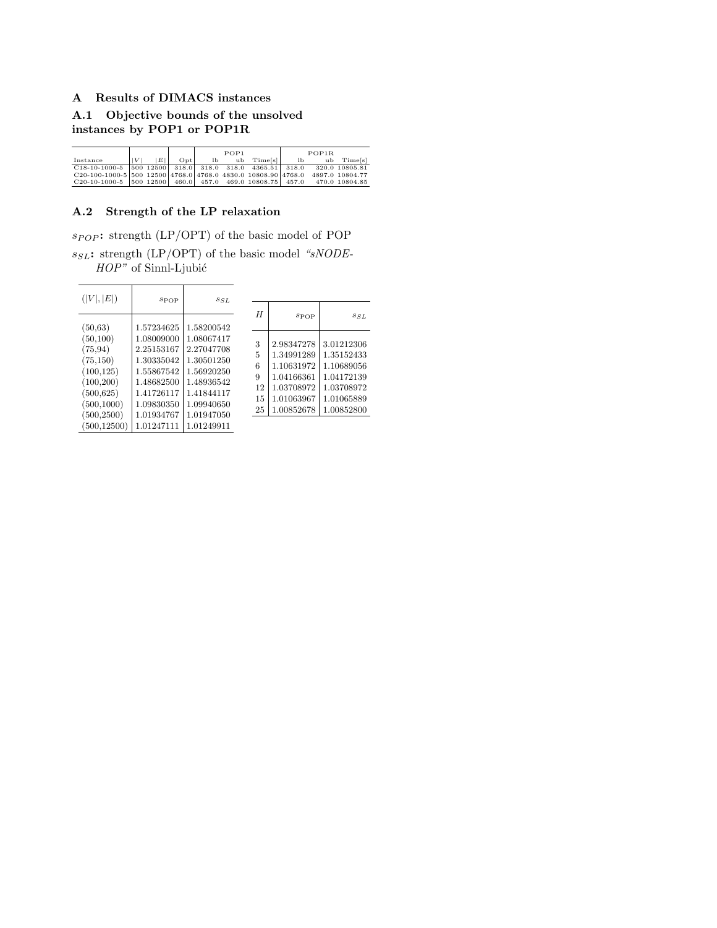## A Results of DIMACS instances

A.1 Objective bounds of the unsolved instances by POP1 or POP1R

|                                                                                        |   |   |  | POP1 |                          | POP1R |  |            |  |
|----------------------------------------------------------------------------------------|---|---|--|------|--------------------------|-------|--|------------|--|
| Instance                                                                               | V | E |  |      | $Opt$ lb ub $Time[s]$ lb |       |  | ub Time[s] |  |
| $C18-10-1000-5$   500 12500   318.0   318.0   318.0   4365.51   318.0   320.0 10805.81 |   |   |  |      |                          |       |  |            |  |
| $C20-100-1000-5$ 500 12500 4768.0 4768.0 4830.0 10808.90 4768.0 4897.0 10804.77        |   |   |  |      |                          |       |  |            |  |
| $C20-10-1000-5$   500 12500   460.0   457.0 469.0 10808.75   457.0 470.0 10804.85      |   |   |  |      |                          |       |  |            |  |

## A.2 Strength of the LP relaxation

 $\overline{\phantom{0}}$ 

 $s_{POP}$ : strength (LP/OPT) of the basic model of POP  $s_{SL}$ : strength (LP/OPT) of the basic model "sNODE- $HOP$ " of Sinnl-Ljubić

| ( V ,  E )   | $s_{\rm POP}$ | $s_{SL}$   |    |     |
|--------------|---------------|------------|----|-----|
|              |               |            | H  |     |
|              |               |            |    |     |
| (50, 63)     | 1.57234625    | 1.58200542 |    |     |
| (50, 100)    | 1.08009000    | 1.08067417 | 3  | 2.5 |
| (75, 94)     | 2.25153167    | 2.27047708 | 5  | 1.: |
| (75, 150)    | 1.30335042    | 1.30501250 | 6  | 1.1 |
| (100, 125)   | 1.55867542    | 1.56920250 | 9  | 1.0 |
| (100, 200)   | 1.48682500    | 1.48936542 | 12 | 1.1 |
| (500, 625)   | 1.41726117    | 1.41844117 | 15 | 1.0 |
| (500, 1000)  | 1.09830350    | 1.09940650 | 25 | 1.  |
| (500, 2500)  | 1.01934767    | 1.01947050 |    |     |
| (500, 12500) | 1.01247111    | 1.01249911 |    |     |

| H        | SPOP                     | $s_{SL}$                 |
|----------|--------------------------|--------------------------|
| 3        | 2.98347278               | 3.01212306               |
| 5        | 1.34991289               | 1.35152433               |
| 6        | 1.10631972               | 1.10689056               |
| 9        | 1.04166361               | 1.04172139               |
| 12       | 1.03708972               | 1.03708972               |
| 15<br>25 | 1.01063967<br>1.00852678 | 1.01065889<br>1.00852800 |
|          |                          |                          |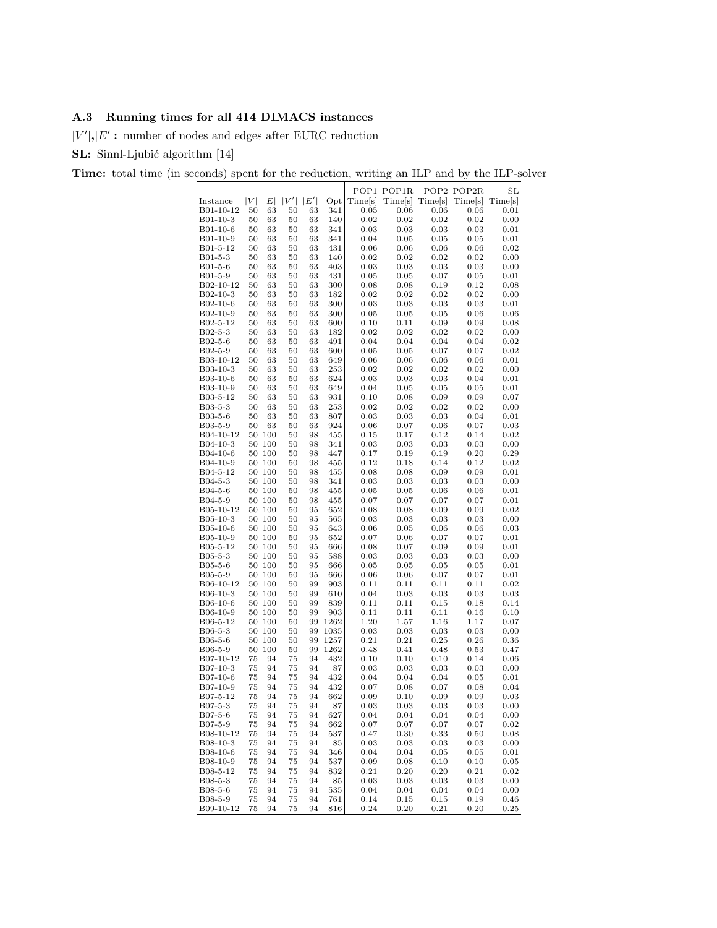## A.3 Running times for all 414 DIMACS instances

 $|V'|$ ,  $|E'|$ : number of nodes and edges after EURC reduction

SL: Sinnl-Ljubić algorithm [14]

Time: total time (in seconds) spent for the reduction, writing an ILP and by the ILP-solver

|                       |                  |                  |          |          |              |              | POP1 POP1R   |              | POP2 POP2R   | $_{\rm SL}$  |
|-----------------------|------------------|------------------|----------|----------|--------------|--------------|--------------|--------------|--------------|--------------|
| Instance              | $\left V\right $ | $\left E\right $ | V'       | E'       | Opt          | Time[s]      | Time[s]      | Time[s]      | Time[s]      | Time[s]      |
| B01-10-12             | 50               | 63               | 50       | 63       | 341          | 0.05         | 0.06         | 0.06         | 0.06         | 0.01         |
| B01-10-3              | 50               | 63               | 50       | 63       | 140          | 0.02         | 0.02         | 0.02         | 0.02         | 0.00         |
| B01-10-6<br>B01-10-9  | 50<br>50         | 63<br>63         | 50<br>50 | 63<br>63 | 341<br>341   | 0.03<br>0.04 | 0.03<br>0.05 | 0.03<br>0.05 | 0.03<br>0.05 | 0.01<br>0.01 |
| B01-5-12              | 50               | 63               | 50       | 63       | 431          | 0.06         | 0.06         | 0.06         | 0.06         | 0.02         |
| B01-5-3               | 50               | 63               | 50       | 63       | 140          | 0.02         | 0.02         | 0.02         | 0.02         | 0.00         |
| $B01-5-6$             | 50               | 63               | 50       | 63       | 403          | 0.03         | 0.03         | 0.03         | 0.03         | 0.00         |
| B01-5-9               | 50               | 63               | 50       | 63       | 431          | 0.05         | 0.05         | 0.07         | 0.05         | 0.01         |
| B02-10-12             | 50               | 63               | 50       | 63       | 300          | 0.08         | 0.08         | 0.19         | 0.12         | 0.08         |
| B02-10-3<br>B02-10-6  | 50<br>50         | 63<br>63         | 50<br>50 | 63<br>63 | 182<br>300   | 0.02         | 0.02<br>0.03 | 0.02         | 0.02<br>0.03 | 0.00<br>0.01 |
| B02-10-9              | 50               | 63               | 50       | 63       | 300          | 0.03<br>0.05 | 0.05         | 0.03<br>0.05 | 0.06         | 0.06         |
| B02-5-12              | 50               | 63               | 50       | 63       | 600          | 0.10         | 0.11         | 0.09         | 0.09         | 0.08         |
| B02-5-3               | 50               | 63               | 50       | 63       | 182          | 0.02         | 0.02         | 0.02         | 0.02         | 0.00         |
| B02-5-6               | 50               | 63               | 50       | 63       | 491          | 0.04         | 0.04         | 0.04         | 0.04         | 0.02         |
| B02-5-9               | 50               | 63               | 50       | 63       | 600          | 0.05         | 0.05         | 0.07         | 0.07         | 0.02         |
| B03-10-12             | 50               | 63               | 50       | 63       | 649          | 0.06         | 0.06         | 0.06         | 0.06         | 0.01         |
| B03-10-3<br>B03-10-6  | 50<br>50         | 63<br>63         | 50<br>50 | 63<br>63 | 253<br>624   | 0.02<br>0.03 | 0.02<br>0.03 | 0.02<br>0.03 | 0.02<br>0.04 | 0.00<br>0.01 |
| B03-10-9              | 50               | 63               | 50       | 63       | 649          | 0.04         | 0.05         | 0.05         | 0.05         | 0.01         |
| B03-5-12              | 50               | 63               | 50       | 63       | 931          | 0.10         | 0.08         | 0.09         | 0.09         | 0.07         |
| B03-5-3               | 50               | 63               | 50       | 63       | 253          | 0.02         | 0.02         | 0.02         | 0.02         | 0.00         |
| B03-5-6               | 50               | 63               | 50       | 63       | 807          | 0.03         | 0.03         | 0.03         | 0.04         | 0.01         |
| B03-5-9               | 50               | 63               | 50       | 63       | 924          | 0.06         | 0.07         | 0.06         | 0.07         | 0.03         |
| B04-10-12<br>B04-10-3 | 50<br>50         | 100<br>100       | 50<br>50 | 98<br>98 | 455<br>341   | 0.15<br>0.03 | 0.17<br>0.03 | 0.12<br>0.03 | 0.14<br>0.03 | 0.02<br>0.00 |
| B04-10-6              | 50               | 100              | 50       | 98       | 447          | 0.17         | 0.19         | 0.19         | 0.20         | 0.29         |
| B04-10-9              | 50               | 100              | 50       | 98       | 455          | 0.12         | 0.18         | 0.14         | 0.12         | 0.02         |
| B04-5-12              | 50               | 100              | 50       | 98       | 455          | 0.08         | 0.08         | 0.09         | 0.09         | 0.01         |
| B04-5-3               | 50               | 100              | 50       | 98       | 341          | 0.03         | 0.03         | 0.03         | 0.03         | 0.00         |
| B04-5-6               | 50               | 100              | 50       | 98       | 455          | 0.05         | 0.05         | 0.06         | 0.06         | 0.01<br>0.01 |
| B04-5-9<br>B05-10-12  | 50<br>50         | 100<br>100       | 50<br>50 | 98<br>95 | 455<br>652   | 0.07<br>0.08 | 0.07<br>0.08 | 0.07<br>0.09 | 0.07<br>0.09 | 0.02         |
| B05-10-3              | 50               | 100              | 50       | 95       | 565          | 0.03         | 0.03         | 0.03         | 0.03         | 0.00         |
| B05-10-6              | 50               | 100              | 50       | 95       | 643          | 0.06         | 0.05         | 0.06         | 0.06         | 0.03         |
| B05-10-9              | 50               | 100              | 50       | 95       | 652          | 0.07         | 0.06         | 0.07         | 0.07         | 0.01         |
| B05-5-12              | 50               | 100              | 50       | 95       | 666          | 0.08         | 0.07         | 0.09         | 0.09         | 0.01         |
| B05-5-3               | 50<br>50         | 100<br>100       | 50<br>50 | 95<br>95 | 588<br>666   | 0.03<br>0.05 | 0.03<br>0.05 | 0.03         | 0.03<br>0.05 | 0.00<br>0.01 |
| B05-5-6<br>B05-5-9    | 50               | 100              | 50       | 95       | 666          | 0.06         | 0.06         | 0.05<br>0.07 | 0.07         | 0.01         |
| B06-10-12             | 50               | 100              | 50       | 99       | 903          | 0.11         | 0.11         | 0.11         | 0.11         | 0.02         |
| B06-10-3              | 50               | 100              | 50       | 99       | 610          | 0.04         | 0.03         | 0.03         | 0.03         | 0.03         |
| B06-10-6              | 50               | 100              | 50       | 99       | 839          | 0.11         | 0.11         | 0.15         | 0.18         | 0.14         |
| B06-10-9              | 50               | 100              | 50       | 99       | 903          | 0.11         | 0.11         | 0.11         | 0.16         | 0.10         |
| B06-5-12<br>B06-5-3   | 50<br>50         | 100<br>100       | 50<br>50 | 99<br>99 | 1262<br>1035 | 1.20<br>0.03 | 1.57<br>0.03 | 1.16<br>0.03 | 1.17<br>0.03 | 0.07<br>0.00 |
| B06-5-6               | 50               | 100              | 50       | 99       | 1257         | 0.21         | 0.21         | 0.25         | 0.26         | 0.36         |
| B06-5-9               | 50               | 100              | 50       | 99       | 1262         | 0.48         | 0.41         | 0.48         | 0.53         | 0.47         |
| B07-10-12             | 75               | 94               | 75       | 94       | 432          | 0.10         | 0.10         | 0.10         | 0.14         | 0.06         |
| B07-10-3              | 75               | 94               | 75       | 94       | 87           | 0.03         | $\rm 0.03$   | 0.03         | 0.03         | 0.00         |
| B07-10-6              | 75               | 94               | 75       | 94       | 432          | 0.04         | 0.04         | 0.04         | 0.05         | 0.01         |
| B07-10-9<br>B07-5-12  | 75<br>75         | 94<br>94         | 75<br>75 | 94<br>94 | 432<br>662   | 0.07<br>0.09 | 0.08<br>0.10 | 0.07<br>0.09 | 0.08<br>0.09 | 0.04<br>0.03 |
| $B07 - 5 - 3$         | 75               | 94               | 75       | 94       | 87           | 0.03         | 0.03         | 0.03         | 0.03         | 0.00         |
| B07-5-6               | 75               | 94               | 75       | 94       | 627          | 0.04         | 0.04         | 0.04         | 0.04         | 0.00         |
| B07-5-9               | 75               | 94               | 75       | 94       | 662          | 0.07         | 0.07         | 0.07         | 0.07         | 0.02         |
| B08-10-12             | 75               | 94               | 75       | 94       | 537          | 0.47         | 0.30         | 0.33         | 0.50         | 0.08         |
| B08-10-3              | 75               | 94               | 75       | 94       | 85           | 0.03         | 0.03         | 0.03         | 0.03         | 0.00         |
| B08-10-6<br>B08-10-9  | 75<br>75         | 94<br>94         | 75<br>75 | 94<br>94 | 346<br>537   | 0.04<br>0.09 | 0.04<br>0.08 | 0.05<br>0.10 | 0.05<br>0.10 | 0.01<br>0.05 |
| B08-5-12              | 75               | 94               | 75       | 94       | 832          | 0.21         | 0.20         | 0.20         | 0.21         | 0.02         |
| B08-5-3               | 75               | 94               | 75       | 94       | 85           | 0.03         | 0.03         | 0.03         | 0.03         | 0.00         |
| B08-5-6               | 75               | 94               | 75       | 94       | 535          | 0.04         | 0.04         | 0.04         | 0.04         | 0.00         |
| B08-5-9               | 75               | 94               | 75       | 94       | 761          | 0.14         | 0.15         | 0.15         | 0.19         | 0.46         |
| B09-10-12             | 75               | 94               | 75       | 94       | 816          | 0.24         | 0.20         | 0.21         | 0.20         | 0.25         |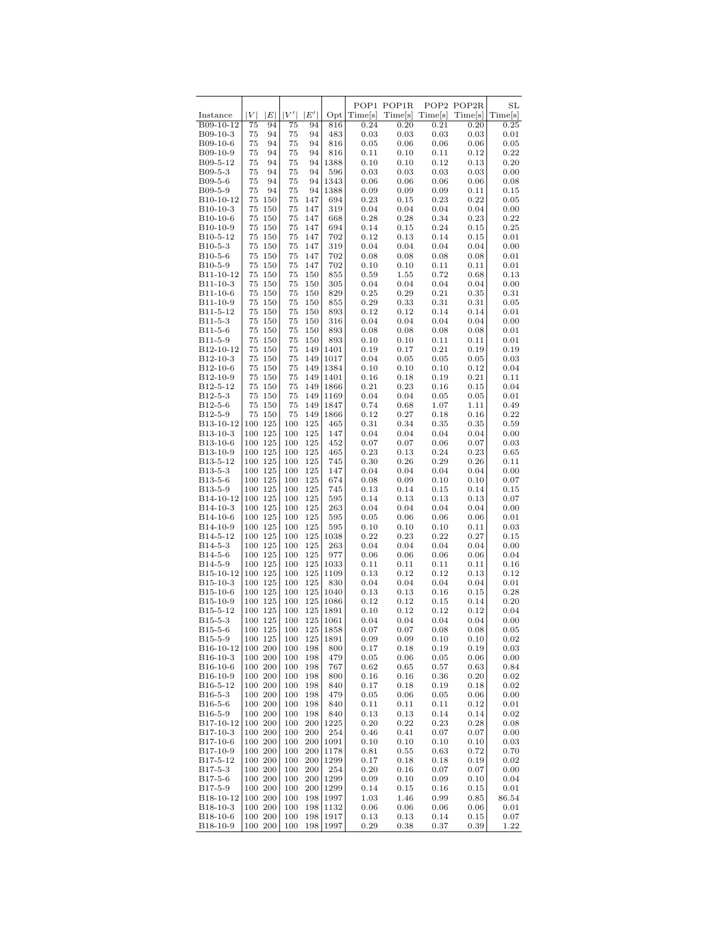|                                   |            |                    |            |            |              |              | POP1 POP1R   |              | POP2 POP2R   | $_{\rm SL}$  |
|-----------------------------------|------------|--------------------|------------|------------|--------------|--------------|--------------|--------------|--------------|--------------|
| Instance                          | $V \vert$  | E                  | V'         | E'         | Opt          | Time[s]      | Time[s]      | Time[s]      | Time[s]      | Time[s]      |
| B09-10-12                         | 75         | 94                 | 75         | 94         | 816          | 0.24         | 0.20         | 0.21         | 0.20         | 0.25         |
| B09-10-3                          | 75         | 94                 | 75         | 94         | 483          | 0.03         | 0.03         | 0.03         | 0.03         | 0.01         |
| B09-10-6                          | 75         | 94                 | 75         | 94         | 816          | 0.05         | 0.06         | 0.06         | 0.06         | 0.05         |
| B09-10-9                          | 75         | 94                 | 75         | 94         | 816          | 0.11         | 0.10         | 0.11         | 0.12         | 0.22         |
| B09-5-12                          | 75         | 94                 | 75         | 94         | 1388         | 0.10         | 0.10         | 0.12         | 0.13         | 0.20         |
| B09-5-3                           | 75         | 94<br>94           | 75         | 94<br>94   | 596<br>1343  | 0.03         | 0.03         | 0.03         | 0.03         | 0.00         |
| B09-5-6<br>B09-5-9                | 75<br>75   | 94                 | 75<br>75   | 94         | 1388         | 0.06<br>0.09 | 0.06<br>0.09 | 0.06<br>0.09 | 0.06<br>0.11 | 0.08<br>0.15 |
| B <sub>10</sub> -10-12            | 75         | 150                | 75         | 147        | 694          | 0.23         | 0.15         | 0.23         | 0.22         | 0.05         |
| B <sub>10</sub> -10-3             | 75         | 150                | 75         | 147        | 319          | 0.04         | 0.04         | 0.04         | 0.04         | 0.00         |
| B <sub>10</sub> -10-6             | 75         | 150                | 75         | 147        | 668          | 0.28         | 0.28         | 0.34         | 0.23         | 0.22         |
| B <sub>10</sub> -10-9             | 75         | 150                | 75         | 147        | 694          | 0.14         | 0.15         | 0.24         | 0.15         | 0.25         |
| B10-5-12                          | 75         | 150                | 75         | 147        | 702          | 0.12         | 0.13         | 0.14         | 0.15         | 0.01         |
| B10-5-3                           | 75         | 150                | 75         | 147        | 319          | 0.04         | 0.04         | 0.04         | 0.04         | 0.00         |
| B <sub>10</sub> -5-6              | 75         | 150                | 75         | 147        | 702          | 0.08         | 0.08         | 0.08         | 0.08         | 0.01         |
| B <sub>10</sub> -5-9              | 75         | 150                | 75         | 147        | 702          | 0.10         | 0.10         | 0.11         | 0.11         | 0.01         |
| B11-10-12                         | 75         | 150                | 75         | 150        | 855          | 0.59         | 1.55         | 0.72         | 0.68         | 0.13         |
| B11-10-3                          | 75         | 150                | 75         | 150        | 305          | 0.04         | 0.04         | 0.04         | 0.04         | 0.00         |
| B11-10-6                          | 75         | 150                | 75         | 150        | 829          | 0.25         | 0.29         | 0.21         | 0.35         | 0.31         |
| B11-10-9<br>B11-5-12              | 75<br>75   | 150<br>150         | 75<br>75   | 150<br>150 | 855<br>893   | 0.29<br>0.12 | 0.33<br>0.12 | 0.31<br>0.14 | 0.31<br>0.14 | 0.05<br>0.01 |
| B11-5-3                           | 75         | 150                | 75         | 150        | 316          | 0.04         | 0.04         | 0.04         | 0.04         | 0.00         |
| B11-5-6                           | 75         | 150                | 75         | 150        | 893          | 0.08         | 0.08         | 0.08         | 0.08         | 0.01         |
| B11-5-9                           | 75         | 150                | 75         | 150        | 893          | 0.10         | 0.10         | 0.11         | 0.11         | 0.01         |
| B12-10-12                         | 75         | 150                | 75         | 149        | 1401         | 0.19         | 0.17         | 0.21         | 0.19         | 0.19         |
| B12-10-3                          | 75         | 150                | 75         | 149        | 1017         | 0.04         | 0.05         | 0.05         | 0.05         | 0.03         |
| B12-10-6                          | 75         | 150                | 75         | 149        | 1384         | 0.10         | 0.10         | 0.10         | 0.12         | 0.04         |
| B12-10-9                          | 75         | 150                | 75         | 149        | 1401         | 0.16         | 0.18         | 0.19         | 0.21         | 0.11         |
| B12-5-12                          | 75         | 150                | 75         | 149        | 1866         | 0.21         | 0.23         | 0.16         | 0.15         | 0.04         |
| $B12 - 5 - 3$                     | 75         | 150                | 75         | 149        | 1169         | 0.04         | 0.04         | 0.05         | 0.05         | 0.01         |
| B <sub>12</sub> -5-6              | 75         | 150                | 75         | 149        | 1847         | 0.74         | 0.68         | 1.07         | 1.11         | 0.49         |
| B <sub>12</sub> -5-9              | 75         | 150                | 75         | 149        | 1866         | 0.12         | 0.27         | 0.18         | 0.16         | 0.22         |
| B <sub>13</sub> -10-12            | 100        | 125                | 100        | 125        | 465          | 0.31         | 0.34         | 0.35         | 0.35         | 0.59         |
| B13-10-3<br>B13-10-6              | 100<br>100 | 125<br>125         | 100<br>100 | 125<br>125 | 147<br>452   | 0.04<br>0.07 | 0.04<br>0.07 | 0.04<br>0.06 | 0.04<br>0.07 | 0.00<br>0.03 |
| B13-10-9                          |            | 100 125            | 100        | 125        | 465          | 0.23         | 0.13         | 0.24         | 0.23         | 0.65         |
| B13-5-12                          | 100        | 125                | 100        | 125        | 745          | 0.30         | 0.26         | 0.29         | 0.26         | 0.11         |
| B13-5-3                           | 100        | 125                | 100        | 125        | 147          | 0.04         | 0.04         | 0.04         | 0.04         | 0.00         |
| B13-5-6                           |            | 100 125            | 100        | 125        | 674          | 0.08         | 0.09         | 0.10         | 0.10         | 0.07         |
| B13-5-9                           | 100        | 125                | 100        | 125        | 745          | 0.13         | 0.14         | $_{0.15}$    | 0.14         | 0.15         |
| B14-10-12                         | 100        | 125                | 100        | 125        | 595          | 0.14         | 0.13         | 0.13         | 0.13         | 0.07         |
| B14-10-3                          |            | 100 125            | 100        | 125        | 263          | 0.04         | 0.04         | 0.04         | 0.04         | 0.00         |
| B14-10-6                          | 100        | 125                | 100        | 125        | 595          | 0.05         | 0.06         | 0.06         | 0.06         | 0.01         |
| B14-10-9<br>B14-5-12              | 100        | 125<br>100 125     | 100        | 125        | 595          | 0.10<br>0.22 | 0.10<br>0.23 | 0.10<br>0.22 | 0.11<br>0.27 | 0.03         |
| B14-5-3                           | 100        | 125                | 100<br>100 | 125<br>125 | 1038<br>263  | 0.04         | 0.04         | 0.04         | 0.04         | 0.15<br>0.00 |
| B14-5-6                           | 100        | 125                | 100        | 125        | 977          | 0.06         | 0.06         | 0.06         | 0.06         | 0.04         |
| B14-5-9                           |            | 100 125            | 100        | 125        | 1033         | 0.11         | 0.11         | 0.11         | 0.11         | 0.16         |
| B15-10-12                         | 100        | 125                | 100        | 125        | 1109         | 0.13         | 0.12         | 0.12         | 0.13         | 0.12         |
| B <sub>15</sub> -10-3             | 100        | 125                | 100        | 125        | 830          | 0.04         | 0.04         | 0.04         | 0.04         | 0.01         |
| B15-10-6                          |            | 100 125            | 100        | 125        | 1040         | 0.13         | 0.13         | 0.16         | 0.15         | 0.28         |
| B <sub>15</sub> -10-9             | 100        | 125                | 100        | 125        | 1086         | 0.12         | 0.12         | $_{0.15}$    | 0.14         | 0.20         |
| B15-5-12                          |            | 100 125            | 100        | 125        | 1891         | 0.10         | 0.12         | 0.12         | 0.12         | 0.04         |
| B <sub>15</sub> -5-3              |            | 100 125            | 100        | 125        | 1061         | 0.04         | 0.04         | 0.04         | 0.04         | 0.00         |
| B <sub>15</sub> -5-6              |            | 100 125<br>100 125 | 100<br>100 | 125<br>125 | 1858<br>1891 | 0.07         | 0.07         | 0.08         | 0.08         | 0.05         |
| B <sub>15</sub> -5-9<br>B16-10-12 |            | 100 200            | 100        | 198        | 800          | 0.09<br>0.17 | 0.09<br>0.18 | 0.10<br>0.19 | 0.10<br>0.19 | 0.02<br>0.03 |
| B <sub>16</sub> -10-3             |            | 100 200            | 100        | 198        | 479          | 0.05         | 0.06         | 0.05         | 0.06         | 0.00         |
| B <sub>16</sub> -10-6             |            | 100 200            | 100        | 198        | 767          | 0.62         | 0.65         | 0.57         | 0.63         | 0.84         |
| B <sub>16</sub> -10-9             |            | 100 200            | 100        | 198        | 800          | 0.16         | 0.16         | 0.36         | 0.20         | 0.02         |
| B16-5-12                          |            | 100 200            | 100        | 198        | 840          | 0.17         | 0.18         | 0.19         | 0.18         | 0.02         |
| B <sub>16</sub> -5-3              |            | 100 200            | 100        | 198        | 479          | 0.05         | 0.06         | 0.05         | 0.06         | 0.00         |
| B <sub>16</sub> -5-6              |            | 100 200            | 100        | 198        | 840          | 0.11         | 0.11         | 0.11         | 0.12         | 0.01         |
| B16-5-9                           |            | 100 200            | 100        | 198        | 840          | 0.13         | 0.13         | $0.14\,$     | 0.14         | 0.02         |
| B17-10-12                         |            | 100 200            | 100        | 200        | 1225         | 0.20         | 0.22         | 0.23         | 0.28         | 0.08         |
| B17-10-3                          |            | 100 200            | 100        | 200        | 254          | 0.46         | 0.41         | 0.07         | 0.07         | 0.00         |
| B17-10-6                          |            | 100 200            | 100        | 200        | 1091         | 0.10         | 0.10         | 0.10         | 0.10<br>0.72 | 0.03         |
| B17-10-9<br>B17-5-12              |            | 100 200<br>100 200 | 100<br>100 | 200<br>200 | 1178<br>1299 | 0.81<br>0.17 | 0.55<br>0.18 | 0.63<br>0.18 | 0.19         | 0.70<br>0.02 |
| B17-5-3                           |            | 100 200            | 100        | 200        | 254          | 0.20         | 0.16         | 0.07         | 0.07         | 0.00         |
| B17-5-6                           |            | 100 200            | 100        |            | 200   1299   | 0.09         | 0.10         | 0.09         | 0.10         | 0.04         |
| B17-5-9                           |            | 100 200            | 100        | 200        | 1299         | 0.14         | 0.15         | 0.16         | 0.15         | 0.01         |
| B <sub>18</sub> -10-12            |            | 100 200            | 100        | 198        | 1997         | 1.03         | 1.46         | 0.99         | 0.85         | 86.54        |
| B <sub>18</sub> -10-3             |            | 100 200            | 100        | 198        | 1132         | 0.06         | 0.06         | 0.06         | 0.06         | 0.01         |
| B <sub>18</sub> -10-6             |            | 100 200            | 100        | 198        | 1917         | 0.13         | 0.13         | 0.14         | 0.15         | 0.07         |
| B18-10-9                          |            | 100 200            | 100        | 198        | 1997         | 0.29         | 0.38         | 0.37         | 0.39         | 1.22         |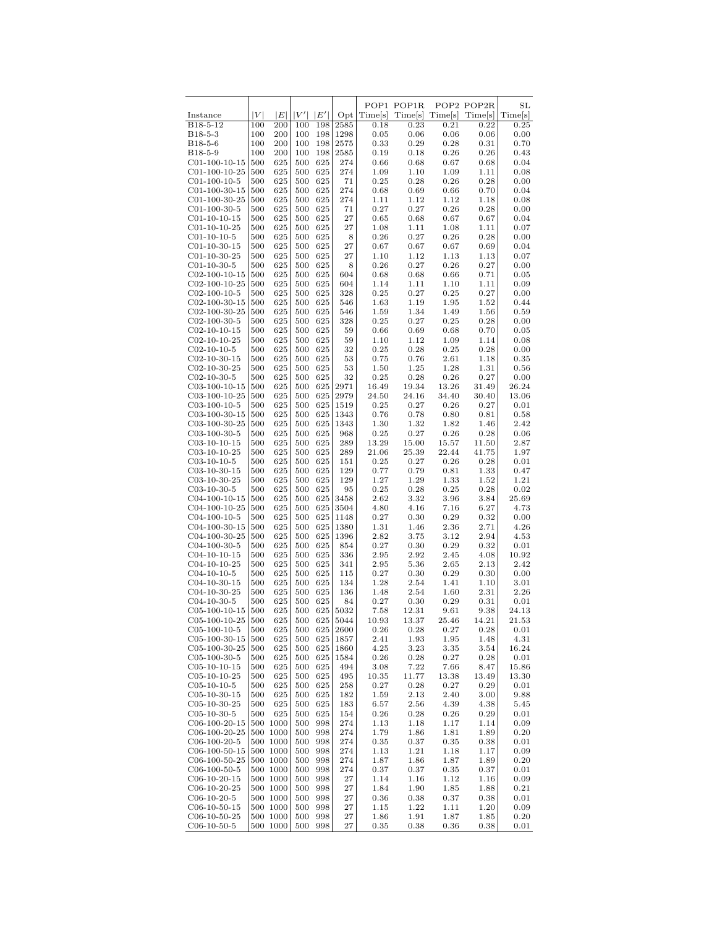|                                   |            |                      |            |            |              |               | POP1 POP1R   |              | POP2 POP2R   | $_{\rm SL}$  |
|-----------------------------------|------------|----------------------|------------|------------|--------------|---------------|--------------|--------------|--------------|--------------|
| Instance                          | V          | E                    | V'         | E'         | $_{\rm Opt}$ | Time[s]       | Time[s]      | Time[s]      | Time[s]      | Time[s]      |
| B18-5-12                          | 100        | 200                  | 100        | 198        | 2585         | 0.18          | 0.23         | 0.21         | 0.22         | 0.25         |
| B <sub>18</sub> -5-3              | 100        | 200                  | 100        | 198        | 1298         | 0.05          | 0.06         | 0.06         | 0.06         | 0.00         |
| B18-5-6                           | 100        | 200                  | 100        | 198        | 2575         | 0.33          | 0.29         | 0.28         | 0.31         | 0.70         |
| B18-5-9<br>$C01-100-10-15$        | 100<br>500 | 200<br>625           | 100<br>500 | 198<br>625 | 2585<br>274  | 0.19<br>0.66  | 0.18<br>0.68 | 0.26<br>0.67 | 0.26<br>0.68 | 0.43<br>0.04 |
| $C01-100-10-25$                   | 500        | 625                  | 500        | 625        | 274          | 1.09          | 1.10         | 1.09         | 1.11         | 0.08         |
| $C01-100-10-5$                    | 500        | 625                  | 500        | 625        | 71           | 0.25          | 0.28         | 0.26         | 0.28         | 0.00         |
| $C01-100-30-15$                   | 500        | 625                  | 500        | 625        | 274          | 0.68          | 0.69         | 0.66         | 0.70         | 0.04         |
| $C01-100-30-25$                   | 500        | 625                  | 500        | 625        | 274          | 1.11          | 1.12         | 1.12         | 1.18         | 0.08         |
| $C01-100-30-5$                    | 500        | 625                  | 500        | 625        | 71           | 0.27          | 0.27         | 0.26         | 0.28         | 0.00         |
| $C01-10-10-15$                    | 500        | 625                  | 500        | 625        | 27           | 0.65          | 0.68         | 0.67         | 0.67         | 0.04         |
| $C01-10-10-25$                    | 500        | 625                  | 500        | 625        | 27           | 1.08          | 1.11         | 1.08         | 1.11         | 0.07         |
| $C01-10-10-5$                     | 500        | 625                  | 500<br>500 | 625        | 8<br>27      | 0.26          | 0.27         | 0.26         | 0.28         | 0.00         |
| $C01-10-30-15$<br>$C01-10-30-25$  | 500<br>500 | 625<br>625           | 500        | 625<br>625 | 27           | 0.67<br>1.10  | 0.67<br>1.12 | 0.67<br>1.13 | 0.69<br>1.13 | 0.04<br>0.07 |
| $C01-10-30-5$                     | 500        | 625                  | 500        | 625        | 8            | 0.26          | 0.27         | 0.26         | $_{0.27}$    | 0.00         |
| $C02-100-10-15$                   | 500        | 625                  | 500        | 625        | 604          | 0.68          | 0.68         | 0.66         | 0.71         | 0.05         |
| $C02-100-10-25$                   | 500        | 625                  | 500        | 625        | 604          | 1.14          | 1.11         | 1.10         | 1.11         | 0.09         |
| $C02-100-10-5$                    | 500        | 625                  | 500        | 625        | 328          | 0.25          | 0.27         | 0.25         | 0.27         | 0.00         |
| $C02-100-30-15$                   | 500        | 625                  | 500        | 625        | 546          | 1.63          | 1.19         | 1.95         | 1.52         | 0.44         |
| $C02-100-30-25$                   | 500        | 625                  | 500        | 625        | 546          | 1.59          | 1.34         | 1.49         | 1.56         | 0.59         |
| $C02-100-30-5$                    | 500        | 625                  | 500        | 625        | 328          | 0.25          | 0.27         | 0.25         | 0.28         | 0.00         |
| $C02-10-10-15$                    | 500        | 625                  | 500        | 625        | 59           | 0.66<br>1.10  | 0.69         | 0.68         | 0.70         | 0.05         |
| $C02-10-10-25$<br>$C02-10-10-5$   | 500<br>500 | 625<br>625           | 500<br>500 | 625<br>625 | 59<br>32     | 0.25          | 1.12<br>0.28 | 1.09<br>0.25 | 1.14<br>0.28 | 0.08<br>0.00 |
| $C02-10-30-15$                    | 500        | 625                  | 500        | 625        | 53           | 0.75          | 0.76         | 2.61         | 1.18         | 0.35         |
| $C02-10-30-25$                    | 500        | 625                  | 500        | 625        | 53           | 1.50          | 1.25         | 1.28         | 1.31         | 0.56         |
| $C02-10-30-5$                     | 500        | 625                  | 500        | 625        | 32           | 0.25          | 0.28         | 0.26         | 0.27         | 0.00         |
| $C03-100-10-15$                   | 500        | 625                  | 500        | 625        | 2971         | 16.49         | 19.34        | 13.26        | 31.49        | 26.24        |
| $C03-100-10-25$                   | 500        | 625                  | 500        | 625        | 2979         | 24.50         | 24.16        | 34.40        | 30.40        | 13.06        |
| $C03-100-10-5$                    | 500        | 625                  | 500        | 625        | 1519         | 0.25          | 0.27         | 0.26         | 0.27         | 0.01         |
| $C03-100-30-15$                   | 500        | 625                  | 500        | 625        | 1343         | 0.76          | 0.78         | 0.80         | 0.81         | 0.58         |
| C03-100-30-25                     | 500        | 625<br>625           | 500        | 625<br>625 | 1343         | 1.30          | 1.32<br>0.27 | 1.82<br>0.26 | 1.46<br>0.28 | 2.42         |
| $C03-100-30-5$<br>$C03-10-10-15$  | 500<br>500 | 625                  | 500<br>500 | 625        | 968<br>289   | 0.25<br>13.29 | 15.00        | 15.57        | 11.50        | 0.06<br>2.87 |
| $C$ 03-10-10-25                   | 500        | 625                  | 500        | 625        | 289          | 21.06         | 25.39        | 22.44        | 41.75        | 1.97         |
| $C03-10-10-5$                     | 500        | 625                  | 500        | 625        | 151          | 0.25          | 0.27         | 0.26         | 0.28         | 0.01         |
| $C03-10-30-15$                    | 500        | 625                  | 500        | 625        | 129          | 0.77          | 0.79         | 0.81         | 1.33         | 0.47         |
| $C$ 03-10-30-25                   | 500        | 625                  | 500        | 625        | 129          | 1.27          | 1.29         | 1.33         | 1.52         | 1.21         |
| $C03-10-30-5$                     | 500        | 625                  | 500        | 625        | 95           | 0.25          | 0.28         | 0.25         | 0.28         | 0.02         |
| $C04-100-10-15$                   | 500        | 625                  | 500        | 625        | 3458         | 2.62          | 3.32         | 3.96         | 3.84         | 25.69        |
| $C04-100-10-25$<br>$C04-100-10-5$ | 500<br>500 | 625<br>625           | 500<br>500 | 625<br>625 | 3504<br>1148 | 4.80<br>0.27  | 4.16<br>0.30 | 7.16<br>0.29 | 6.27<br>0.32 | 4.73<br>0.00 |
| C04-100-30-15                     | 500        | 625                  | 500        | 625        | 1380         | 1.31          | 1.46         | 2.36         | 2.71         | 4.26         |
| C04-100-30-25                     | 500        | 625                  | 500        | 625        | 1396         | 2.82          | 3.75         | 3.12         | 2.94         | 4.53         |
| $C04-100-30-5$                    | 500        | 625                  | 500        | 625        | 854          | 0.27          | 0.30         | 0.29         | 0.32         | 0.01         |
| $C04-10-10-15$                    | 500        | 625                  | 500        | 625        | 336          | 2.95          | 2.92         | 2.45         | 4.08         | 10.92        |
| $C04-10-10-25$                    | 500        | 625                  | 500        | 625        | 341          | 2.95          | 5.36         | 2.65         | 2.13         | 2.42         |
| $C04-10-10-5$                     | 500        | 625                  | 500        | 625        | 115          | 0.27          | 0.30         | 0.29         | 0.30         | 0.00         |
| $C04-10-30-15$                    | 500        | 625                  | 500        | 625        | 134          | 1.28          | 2.54         | 1.41         | 1.10         | 3.01         |
| $C04-10-30-25$<br>$C04-10-30-5$   | 500<br>500 | 625<br>625           | 500<br>500 | 625<br>625 | 136<br>84    | 1.48<br>0.27  | 2.54<br>0.30 | 1.60<br>0.29 | 2.31<br>0.31 | 2.26<br>0.01 |
| $C05-100-10-15$                   | 500        | 625                  | 500        | 625        | 5032         | 7.58          | 12.31        | 9.61         | 9.38         | 24.13        |
| $C05-100-10-25$                   | 500        | 625                  | 500        | 625        | 5044         | 10.93         | 13.37        | 25.46        | 14.21        | 21.53        |
| $C05-100-10-5$                    | 500        | 625                  | 500        | 625        | 2600         | 0.26          | 0.28         | 0.27         | 0.28         | 0.01         |
| $C05-100-30-15$                   | 500        | 625                  | 500        | 625        | 1857         | 2.41          | 1.93         | 1.95         | 1.48         | 4.31         |
| $C05-100-30-25$                   | 500        | 625                  | 500        | 625        | 1860         | 4.25          | 3.23         | 3.35         | 3.54         | 16.24        |
| $C05-100-30-5$                    | 500        | 625                  | 500        | 625        | 1584         | 0.26          | 0.28         | 0.27         | 0.28         | 0.01         |
| $C05-10-10-15$                    | 500        | 625                  | 500        | 625        | 494          | 3.08          | 7.22         | 7.66         | 8.47         | 15.86        |
| $C05-10-10-25$                    | 500        | 625                  | 500        | 625        | 495          | 10.35         | 11.77        | 13.38        | 13.49        | 13.30        |
| $C05-10-10-5$<br>$C05-10-30-15$   | 500<br>500 | 625<br>625           | 500<br>500 | 625<br>625 | 258<br>182   | 0.27<br>1.59  | 0.28<br>2.13 | 0.27<br>2.40 | 0.29<br>3.00 | 0.01<br>9.88 |
| $C05-10-30-25$                    | 500        | 625                  | 500        | 625        | 183          | 6.57          | 2.56         | 4.39         | 4.38         | 5.45         |
| $C05-10-30-5$                     | 500        | 625                  | 500        | 625        | 154          | 0.26          | 0.28         | 0.26         | 0.29         | 0.01         |
| $C06-100-20-15$                   |            | 500 1000             | 500        | 998        | 274          | 1.13          | 1.18         | 1.17         | 1.14         | 0.09         |
| $C06-100-20-25$                   |            | 500 1000             | 500        | 998        | 274          | 1.79          | 1.86         | 1.81         | 1.89         | 0.20         |
| $C06-100-20-5$                    |            | 500 1000             | 500        | 998        | 274          | 0.35          | 0.37         | 0.35         | 0.38         | 0.01         |
| $C06-100-50-15$                   |            | 500 1000             | 500        | 998        | 274          | 1.13          | 1.21         | 1.18         | 1.17         | 0.09         |
| $C06-100-50-25$                   |            | 500 1000             | 500        | 998        | 274          | 1.87          | 1.86         | 1.87         | 1.89         | 0.20         |
| $C06-100-50-5$<br>$C06-10-20-15$  |            | 500 1000<br>500 1000 | 500<br>500 | 998<br>998 | 274<br>27    | 0.37<br>1.14  | 0.37         | 0.35<br>1.12 | 0.37         | 0.01<br>0.09 |
| $C06-10-20-25$                    |            | 500 1000             | 500        | 998        | $\sqrt{27}$  | 1.84          | 1.16<br>1.90 | 1.85         | 1.16<br>1.88 | 0.21         |
| $C06-10-20-5$                     |            | 500 1000             | 500        | 998        | 27           | 0.36          | 0.38         | 0.37         | 0.38         | 0.01         |
| $C06-10-50-15$                    |            | 500 1000             | 500        | 998        | 27           | 1.15          | 1.22         | 1.11         | 1.20         | 0.09         |
| $C06-10-50-25$                    |            | 500 1000             | 500        | 998        | 27           | 1.86          | 1.91         | 1.87         | 1.85         | 0.20         |
| $C06-10-50-5$                     |            | 500 1000             | 500        | 998        | 27           | 0.35          | 0.38         | 0.36         | 0.38         | 0.01         |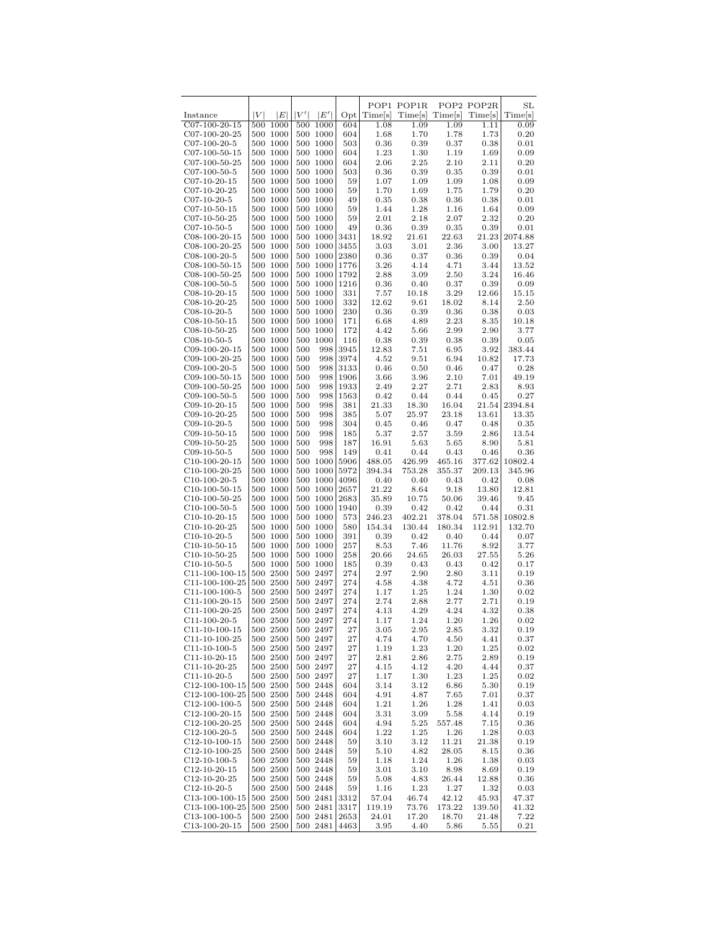|                                   |     |                      |     |                      |              |               | POP1 POP1R    |               | POP2 POP2R    | SL            |
|-----------------------------------|-----|----------------------|-----|----------------------|--------------|---------------|---------------|---------------|---------------|---------------|
| Instance                          | V   | E                    | V'  | E'                   | $_{\rm Opt}$ | Times         | Times         | Time[s]       | Time[s]       | Time[s]       |
| $C07-100-20-15$                   | 500 | 1000                 | 500 | 1000                 | 604          | 1.08<br>1.68  | 1.09          | 1.09          | 1.11          | 0.09          |
| $C07-100-20-25$<br>$C07-100-20-5$ |     | 500 1000<br>500 1000 |     | 500 1000<br>500 1000 | 604<br>503   | 0.36          | 1.70<br>0.39  | 1.78<br>0.37  | 1.73<br>0.38  | 0.20<br>0.01  |
| $C07-100-50-15$                   | 500 | 1000                 |     | 500 1000             | 604          | 1.23          | 1.30          | 1.19          | 1.69          | 0.09          |
| $C07-100-50-25$                   |     | 500 1000             |     | 500 1000             | 604          | 2.06          | 2.25          | 2.10          | 2.11          | 0.20          |
| $C07-100-50-5$                    |     | 500 1000             |     | 500 1000             | 503          | 0.36          | 0.39          | 0.35          | 0.39          | 0.01          |
| $C07-10-20-15$                    |     | 500 1000             |     | 500 1000             | 59           | 1.07          | 1.09          | 1.09          | 1.08          | 0.09          |
| $C07-10-20-25$                    |     | 500 1000             |     | 500 1000             | 59           | 1.70          | 1.69          | 1.75          | 1.79          | 0.20          |
| $C07-10-20-5$                     |     | 500 1000             |     | 500 1000             | 49           | 0.35          | 0.38          | 0.36          | 0.38          | 0.01          |
| $C07-10-50-15$                    |     | 500 1000             |     | 500 1000             | 59           | 1.44          | 1.28          | 1.16          | 1.64          | 0.09          |
| $C07-10-50-25$                    |     | 500 1000             |     | 500 1000             | 59           | 2.01          | 2.18          | 2.07          | 2.32          | 0.20          |
| $C07-10-50-5$                     |     | 500 1000             |     | 500 1000             | 49           | 0.36          | 0.39          | 0.35          | 0.39          | 0.01          |
| $C08-100-20-15$                   | 500 | 1000                 |     | 500 1000             | 3431         | 18.92         | 21.61         | 22.63         | 21.23         | 2074.88       |
| $C$ 08-100-20-25                  |     | 500 1000             |     | 500 1000             | 3455         | 3.03          | 3.01          | 2.36          | 3.00          | 13.27         |
| $C08-100-20-5$                    |     | 500 1000             |     | 500 1000             | 2380         | 0.36          | 0.37          | 0.36          | 0.39          | 0.04          |
| $C08-100-50-15$                   | 500 | 1000                 |     | 500 1000             | 1776         | 3.26          | 4.14          | 4.71          | 3.44          | 13.52         |
| $C08-100-50-25$                   |     | 500 1000             |     | 500 1000             | 1792         | 2.88          | 3.09          | 2.50          | 3.24          | 16.46         |
| $C08-100-50-5$                    |     | 500 1000             |     | 500 1000             | 1216         | 0.36          | 0.40          | 0.37          | 0.39          | 0.09          |
| $C08-10-20-15$                    |     | 500 1000             |     | 500 1000             | 331          | 7.57          | 10.18         | 3.29          | 12.66         | 15.15         |
| $C08-10-20-25$                    |     | 500 1000             |     | 500 1000             | 332          | 12.62         | 9.61          | 18.02         | 8.14          | 2.50          |
| $C08-10-20-5$                     |     | 500 1000             |     | 500 1000<br>500 1000 | 230          | 0.36          | 0.39          | 0.36          | 0.38          | 0.03          |
| $C08-10-50-15$<br>$C08-10-50-25$  |     | 500 1000<br>500 1000 |     | 500 1000             | 171<br>172   | 6.68<br>4.42  | 4.89<br>5.66  | 2.23<br>2.99  | 8.35<br>2.90  | 10.18<br>3.77 |
| $C08-10-50-5$                     |     | 500 1000             |     | 500 1000             | 116          | 0.38          | 0.39          | 0.38          | 0.39          | 0.05          |
| $C09-100-20-15$                   |     | 500 1000             | 500 | 998                  | 3945         | 12.83         | 7.51          | 6.95          | 3.92          | 383.44        |
| $C09-100-20-25$                   |     | 500 1000             | 500 | 998                  | 3974         | 4.52          | 9.51          | 6.94          | 10.82         | 17.73         |
| $C09-100-20-5$                    |     | 500 1000             | 500 | 998                  | 3133         | 0.46          | 0.50          | 0.46          | 0.47          | 0.28          |
| $C09-100-50-15$                   |     | 500 1000             | 500 | 998                  | 1906         | 3.66          | 3.96          | 2.10          | 7.01          | 49.19         |
| $C09-100-50-25$                   |     | 500 1000             | 500 | 998                  | 1933         | 2.49          | 2.27          | 2.71          | 2.83          | 8.93          |
| $C09-100-50-5$                    |     | 500 1000             | 500 | 998                  | 1563         | 0.42          | 0.44          | 0.44          | 0.45          | 0.27          |
| $C09-10-20-15$                    |     | 500 1000             | 500 | 998                  | 381          | 21.33         | 18.30         | 16.04         | 21.54         | 2394.84       |
| $C09-10-20-25$                    |     | 500 1000             | 500 | 998                  | 385          | 5.07          | 25.97         | 23.18         | 13.61         | 13.35         |
| $C09-10-20-5$                     |     | 500 1000             | 500 | 998                  | 304          | 0.45          | 0.46          | 0.47          | 0.48          | 0.35          |
| $C09-10-50-15$                    |     | 500 1000             | 500 | 998                  | 185          | 5.37          | 2.57          | 3.59          | 2.86          | 13.54         |
| $C09-10-50-25$                    |     | 500 1000             | 500 | 998                  | 187          | 16.91         | 5.63          | 5.65          | 8.90          | 5.81          |
| $C09-10-50-5$                     |     | 500 1000             | 500 | 998                  | 149          | 0.41          | 0.44          | 0.43          | 0.46          | 0.36          |
| $C10-100-20-15$                   |     | 500 1000             |     | 500 1000             | 5906         | 488.05        | 426.99        | 465.16        | 377.62        | 10802.4       |
| $C10-100-20-25$                   |     | 500 1000             |     | 500 1000             | 5972         | 394.34        | 753.28        | 355.37        | 209.13        | 345.96        |
| $C10-100-20-5$                    |     | 500 1000             |     | 500 1000             | 4096         | 0.40          | 0.40          | 0.43          | 0.42          | 0.08          |
| $C10-100-50-15$                   |     | 500 1000             |     | 500 1000             | 2657         | 21.22         | 8.64          | 9.18          | 13.80         | 12.81         |
| $C10-100-50-25$<br>$C10-100-50-5$ |     | 500 1000<br>500 1000 |     | 500 1000<br>500 1000 | 2683<br>1940 | 35.89<br>0.39 | 10.75<br>0.42 | 50.06<br>0.42 | 39.46<br>0.44 | 9.45<br>0.31  |
| $C10-10-20-15$                    |     | 500 1000             |     | 500 1000             | 573          | 246.23        | 402.21        | 378.04        | 571.58        | 10802.8       |
| $C10-10-20-25$                    |     | 500 1000             |     | 500 1000             | 580          | 154.34        | 130.44        | 180.34        | 112.91        | 132.70        |
| $C10-10-20-5$                     | 500 | 1000                 |     | 500 1000             | 391          | 0.39          | 0.42          | 0.40          | 0.44          | 0.07          |
| $C10-10-50-15$                    |     | 500 1000             |     | 500 1000             | 257          | 8.53          | 7.46          | 11.76         | 8.92          | 3.77          |
| $C10-10-50-25$                    |     | 500 1000             |     | 500 1000             | 258          | 20.66         | 24.65         | 26.03         | 27.55         | 5.26          |
| $C10-10-50-5$                     | 500 | 1000                 |     | 500 1000             | 185          | 0.39          | 0.43          | 0.43          | 0.42          | 0.17          |
| C11-100-100-15                    |     | 500 2500             |     | 500 2497             | 274          | 2.97          | 2.90          | 2.80          | 3.11          | 0.19          |
| C11-100-100-25                    |     | 500 2500             |     | 500 2497             | 274          | 4.58          | 4.38          | 4.72          | 4.51          | 0.36          |
| C <sub>11</sub> -100-100-5        |     | 500 2500             |     | 500 2497             | 274          | 1.17          | 1.25          | 1.24          | 1.30          | 0.02          |
| C11-100-20-15                     |     | 500 2500             |     | 500 2497             | 274          | 2.74          | 2.88          | 2.77          | 2.71          | 0.19          |
| $C11-100-20-25$                   |     | 500 2500             |     | 500 2497             | 274          | 4.13          | 4.29          | 4.24          | 4.32          | 0.38          |
| $C11-100-20-5$                    |     | 500 2500             |     | 500 2497             | 274          | 1.17          | 1.24          | 1.20          | 1.26          | 0.02          |
| $C11-10-100-15$                   |     | 500 2500             |     | 500 2497             | 27           | 3.05          | 2.95          | 2.85          | 3.32          | 0.19          |
| $C11-10-100-25$                   |     | 500 2500             |     | 500 2497             | 27           | 4.74          | 4.70          | 4.50          | 4.41          | 0.37          |
| $C11-10-100-5$                    |     | 500 2500             |     | 500 2497             | 27           | 1.19          | 1.23          | 1.20          | 1.25          | 0.02          |
| $C11-10-20-15$<br>$C11-10-20-25$  |     | 500 2500<br>500 2500 |     | 500 2497<br>500 2497 | 27<br>27     | 2.81<br>4.15  | 2.86<br>4.12  | 2.75<br>4.20  | 2.89<br>4.44  | 0.19<br>0.37  |
| $C11-10-20-5$                     |     | 500 2500             |     | 500 2497             | 27           | 1.17          | 1.30          | 1.23          | 1.25          | 0.02          |
| $C12-100-100-15$                  |     | 500 2500             |     | 500 2448             | 604          | 3.14          | 3.12          | 6.86          | 5.30          | 0.19          |
| $C12-100-100-25$                  |     | 500 2500             |     | 500 2448             | 604          | 4.91          | 4.87          | 7.65          | 7.01          | 0.37          |
| $C12-100-100-5$                   |     | 500 2500             |     | 500 2448             | 604          | 1.21          | 1.26          | 1.28          | 1.41          | 0.03          |
| $C12-100-20-15$                   |     | 500 2500             |     | 500 2448             | 604          | 3.31          | 3.09          | 5.58          | 4.14          | 0.19          |
| $C12-100-20-25$                   |     | 500 2500             |     | 500 2448             | 604          | 4.94          | 5.25          | 557.48        | 7.15          | 0.36          |
| $C12-100-20-5$                    |     | 500 2500             |     | 500 2448             | 604          | 1.22          | 1.25          | 1.26          | 1.28          | 0.03          |
| $C12-10-100-15$                   |     | 500 2500             |     | 500 2448             | 59           | 3.10          | 3.12          | 11.21         | 21.38         | 0.19          |
| $C12-10-100-25$                   |     | 500 2500             |     | 500 2448             | 59           | 5.10          | 4.82          | 28.05         | 8.15          | 0.36          |
| $C12-10-100-5$                    |     | 500 2500             |     | 500 2448             | 59           | 1.18          | 1.24          | 1.26          | 1.38          | 0.03          |
| $C12-10-20-15$                    |     | 500 2500             |     | 500 2448             | 59           | 3.01          | 3.10          | 8.98          | 8.69          | 0.19          |
| $C12-10-20-25$                    |     | 500 2500             |     | 500 2448             | 59           | 5.08          | 4.83          | 26.44         | 12.88         | 0.36          |
| $C12-10-20-5$                     |     | 500 2500             |     | 500 2448             | 59           | 1.16          | 1.23          | 1.27          | 1.32          | 0.03          |
| $C13-100-100-15$                  |     | 500 2500             |     | 500 2481             | 3312         | 57.04         | 46.74         | 42.12         | 45.93         | 47.37         |
| $C13-100-100-25$                  |     | 500 2500             |     | 500 2481             | 3317         | 119.19        | 73.76         | 173.22        | 139.50        | 41.32         |
| $C13-100-100-5$                   |     | 500 2500             |     | 500 2481             | 2653         | 24.01         | 17.20         | 18.70         | 21.48         | 7.22          |
| C13-100-20-15                     |     | 500 2500             |     | 500 2481             | 4463         | 3.95          | 4.40          | 5.86          | 5.55          | 0.21          |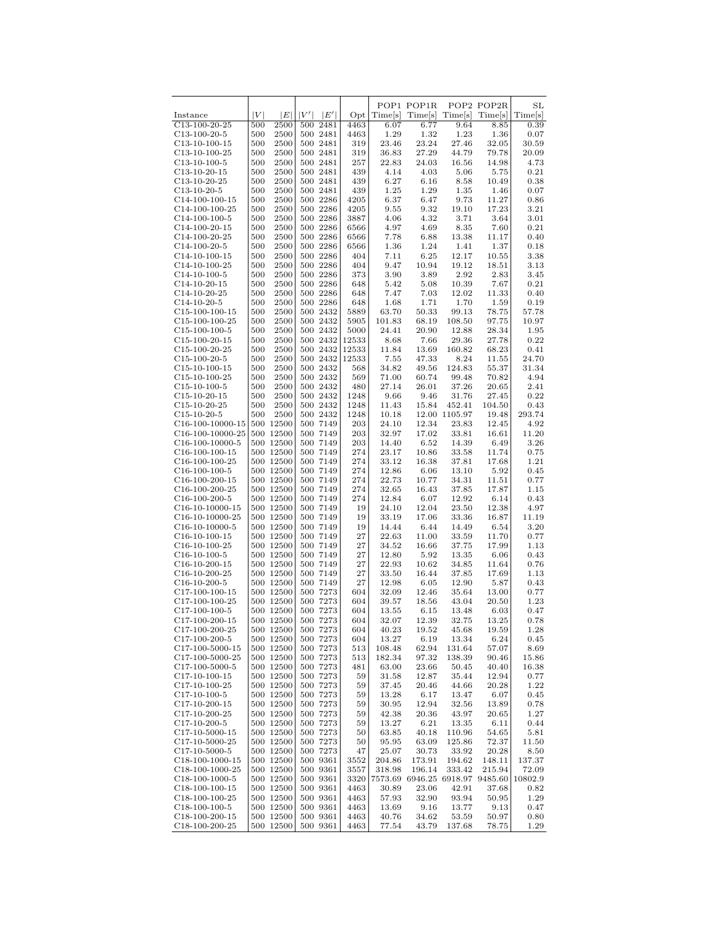|                                                               |            |                        |     |                      |              |                   | POP1 POP1R     |                                   | POP2 POP2R       | SL              |
|---------------------------------------------------------------|------------|------------------------|-----|----------------------|--------------|-------------------|----------------|-----------------------------------|------------------|-----------------|
| Instance                                                      | V          | E                      | V'  | E                    | $_{\rm Opt}$ | Time[s]           | Time[s]        | Time[s]                           | Time[s]          | Time[s]         |
| $C13-100-20-25$                                               | 500        | 2500                   | 500 | 2481                 | 4463         | 6.07              | 6.77           | 9.64                              | 8.85             | 0.39            |
| $C13-100-20-5$                                                | 500        | 2500                   |     | 500 2481             | 4463         | 1.29              | 1.32           | 1.23                              | 1.36             | 0.07            |
| $C13-10-100-15$                                               | 500        | 2500                   |     | 500 2481             | 319          | 23.46             | 23.24          | 27.46                             | 32.05            | 30.59           |
| $C13-10-100-25$                                               | 500        | 2500                   |     | 500 2481             | 319          | 36.83             | 27.29          | 44.79                             | 79.78            | 20.09           |
| $C13-10-100-5$                                                | 500        | 2500                   |     | 500 2481             | 257          | 22.83             | 24.03          | 16.56                             | 14.98            | 4.73            |
| $C13-10-20-15$                                                | 500        | 2500                   |     | 500 2481             | 439          | 4.14              | 4.03           | 5.06                              | 5.75             | 0.21            |
| $C13-10-20-25$                                                | 500        | 2500                   |     | 500 2481             | 439          | 6.27              | 6.16           | 8.58                              | 10.49            | 0.38            |
| $C13-10-20-5$                                                 | 500        | 2500                   |     | 500 2481             | 439          | 1.25              | 1.29           | 1.35                              | 1.46             | 0.07            |
| $C14-100-100-15$                                              | 500<br>500 | 2500<br>2500           |     | 500 2286<br>500 2286 | 4205<br>4205 | 6.37<br>9.55      | 6.47<br>9.32   | 9.73<br>19.10                     | 11.27<br>17.23   | 0.86<br>3.21    |
| $C14-100-100-25$<br>$C14-100-100-5$                           | 500        | 2500                   |     | 500 2286             | 3887         | 4.06              | 4.32           | 3.71                              | 3.64             | 3.01            |
| $C14-100-20-15$                                               | 500        | 2500                   |     | 500 2286             | 6566         | 4.97              | 4.69           | 8.35                              | 7.60             | 0.21            |
| $C14-100-20-25$                                               | 500        | 2500                   |     | 500 2286             | 6566         | 7.78              | 6.88           | 13.38                             | 11.17            | 0.40            |
| $C14-100-20-5$                                                | 500        | 2500                   |     | 500 2286             | 6566         | 1.36              | 1.24           | 1.41                              | 1.37             | 0.18            |
| $C14-10-100-15$                                               | 500        | 2500                   |     | 500 2286             | 404          | 7.11              | 6.25           | 12.17                             | 10.55            | 3.38            |
| $C14-10-100-25$                                               | 500        | 2500                   |     | 500 2286             | 404          | 9.47              | 10.94          | 19.12                             | 18.51            | 3.13            |
| $C14-10-100-5$                                                | 500        | 2500                   |     | 500 2286             | 373          | 3.90              | 3.89           | 2.92                              | 2.83             | 3.45            |
| $C14-10-20-15$                                                | 500        | 2500                   |     | 500 2286             | 648          | 5.42              | 5.08           | 10.39                             | 7.67             | 0.21            |
| $C14-10-20-25$                                                | 500        | 2500                   |     | 500 2286             | 648          | 7.47              | 7.03           | 12.02                             | 11.33            | 0.40            |
| $C14-10-20-5$                                                 | 500        | 2500                   |     | 500 2286             | 648          | 1.68              | 1.71           | 1.70                              | 1.59             | 0.19            |
| $C15-100-100-15$                                              | 500        | 2500                   |     | 500 2432             | 5889         | 63.70             | 50.33          | 99.13                             | 78.75            | 57.78           |
| $C15-100-100-25$                                              | 500        | 2500                   |     | 500 2432             | 5905         | 101.83            | 68.19          | 108.50                            | 97.75            | 10.97           |
| $C15-100-100-5$                                               | 500        | 2500                   |     | 500 2432             | 5000         | 24.41             | 20.90          | 12.88                             | 28.34            | 1.95            |
| $C15-100-20-15$                                               | 500        | 2500                   |     | 500 2432             | 12533        | 8.68              | 7.66           | 29.36                             | 27.78            | 0.22            |
| $C15-100-20-25$                                               | 500        | 2500                   |     | 500 2432             | 12533        | 11.84             | 13.69          | 160.82                            | 68.23            | 0.41            |
| $C15-100-20-5$                                                | 500        | 2500                   |     | 500 2432             | 12533        | 7.55              | 47.33          | 8.24                              | 11.55            | 24.70           |
| $C15-10-100-15$                                               | 500        | 2500                   |     | 500 2432             | 568          | 34.82             | 49.56          | 124.83                            | 55.37            | 31.34           |
| $C15-10-100-25$                                               | 500        | 2500                   |     | 500 2432             | 569          | 71.00             | 60.74          | 99.48                             | 70.82            | 4.94            |
| $C15-10-100-5$                                                | 500        | 2500                   |     | 500 2432             | 480          | 27.14             | 26.01          | 37.26                             | 20.65            | 2.41            |
| $C15-10-20-15$                                                | 500        | 2500                   |     | 500 2432             | 1248         | 9.66              | 9.46           | 31.76                             | 27.45            | 0.22            |
| $C15-10-20-25$                                                | 500        | 2500                   |     | 500 2432             | 1248         | 11.43             | 15.84          | 452.41                            | 104.50           | 0.43            |
| $C15-10-20-5$                                                 | 500        | 2500                   |     | 500 2432             | 1248         | 10.18<br>24.10    |                | 12.00 1105.97                     | 19.48            | 293.74          |
| C <sub>16</sub> -100-10000-15                                 |            | 500 12500<br>500 12500 |     | 500 7149<br>500 7149 | 203<br>203   |                   | 12.34          | 23.83                             | 12.45            | 4.92<br>11.20   |
| C <sub>16</sub> -100-10000-25<br>C <sub>16</sub> -100-10000-5 |            | 500 12500              |     | 500 7149             | 203          | 32.97<br>14.40    | 17.02<br>6.52  | 33.81<br>14.39                    | 16.61<br>6.49    | 3.26            |
| $C16-100-100-15$                                              |            | 500 12500              |     | 500 7149             | 274          | 23.17             | 10.86          | 33.58                             | 11.74            | 0.75            |
| $C16-100-100-25$                                              |            | 500 12500              |     | 500 7149             | 274          | 33.12             | 16.38          | 37.81                             | 17.68            | 1.21            |
| $C16-100-100-5$                                               |            | 500 12500              |     | 500 7149             | 274          | 12.86             | 6.06           | 13.10                             | 5.92             | 0.45            |
| $C16-100-200-15$                                              |            | 500 12500              |     | 500 7149             | 274          | 22.73             | 10.77          | 34.31                             | 11.51            | 0.77            |
| $C16-100-200-25$                                              |            | 500 12500              |     | 500 7149             | 274          | 32.65             | 16.43          | 37.85                             | 17.87            | 1.15            |
| $C16-100-200-5$                                               |            | 500 12500              |     | 500 7149             | 274          | 12.84             | 6.07           | 12.92                             | 6.14             | 0.43            |
| C16-10-10000-15                                               |            | 500 12500              |     | 500 7149             | 19           | 24.10             | 12.04          | 23.50                             | 12.38            | 4.97            |
| C <sub>16</sub> -10-10000-25                                  |            | 500 12500              |     | 500 7149             | 19           | 33.19             | 17.06          | 33.36                             | 16.87            | 11.19           |
| $C16-10-10000-5$                                              |            | 500 12500              |     | 500 7149             | 19           | 14.44             | 6.44           | 14.49                             | 6.54             | 3.20            |
| $C16-10-100-15$                                               |            | 500 12500              |     | 500 7149             | 27           | 22.63             | 11.00          | 33.59                             | 11.70            | 0.77            |
| $C16-10-100-25$                                               |            | 500 12500              |     | 500 7149             | 27           | 34.52             | 16.66          | 37.75                             | 17.99            | 1.13            |
| $C16-10-100-5$                                                |            | 500 12500              |     | 500 7149             | 27           | 12.80             | 5.92           | 13.35                             | 6.06             | 0.43            |
| $C16-10-200-15$                                               |            | 500 12500              |     | 500 7149             | 27           | 22.93             | 10.62          | 34.85                             | 11.64            | 0.76            |
| $C16-10-200-25$                                               |            | 500 12500              |     | 500 7149             | 27           | 33.50             | 16.44          | 37.85                             | 17.69            | 1.13            |
| $C16-10-200-5$                                                |            | 500 12500              |     | 500 7149             | 27           | 12.98             | 6.05           | 12.90                             | 5.87             | 0.43            |
| $C17-100-100-15$<br>C17-100-100-25                            |            | 500 12500<br>500 12500 |     | 500 7273<br>500 7273 | 604<br>604   | 32.09             | 12.46<br>18.56 | 35.64<br>43.04                    | 13.00            | 0.77<br>1.23    |
| $C17-100-100-5$                                               |            | 500 12500              |     | 500 7273             | 604          | 39.57<br>13.55    | 6.15           | 13.48                             | 20.50<br>6.03    | 0.47            |
| $C17-100-200-15$                                              |            | 500 12500              |     | 500 7273             | 604          | 32.07             | 12.39          | 32.75                             | 13.25            | 0.78            |
| C17-100-200-25                                                |            | 500 12500              |     | 500 7273             | 604          | 40.23             | 19.52          | 45.68                             | 19.59            | 1.28            |
| $C17-100-200-5$                                               |            | 500 12500              |     | 500 7273             | 604          | 13.27             | 6.19           | 13.34                             | 6.24             | 0.45            |
| C17-100-5000-15                                               |            | 500 12500              |     | 500 7273             | 513          | 108.48            | 62.94          | 131.64                            | 57.07            | 8.69            |
| C17-100-5000-25                                               |            | 500 12500              |     | 500 7273             | 513          | 182.34            | 97.32          | 138.39                            | 90.46            | 15.86           |
| $C17-100-5000-5$                                              |            | 500 12500              |     | 500 7273             | 481          | 63.00             | 23.66          | 50.45                             | 40.40            | 16.38           |
| $C17-10-100-15$                                               |            | 500 12500              |     | 500 7273             | 59           | 31.58             | 12.87          | 35.44                             | 12.94            | 0.77            |
| $C17-10-100-25$                                               |            | 500 12500              |     | 500 7273             | 59           | 37.45             | 20.46          | 44.66                             | 20.28            | 1.22            |
| $C17-10-100-5$                                                |            | 500 12500              |     | 500 7273             | 59           | 13.28             | 6.17           | 13.47                             | 6.07             | 0.45            |
| $C17-10-200-15$                                               |            | $500\;12500$           |     | 500 7273             | 59           | 30.95             | 12.94          | 32.56                             | 13.89            | 0.78            |
| $C17-10-200-25$                                               |            | 500 12500              |     | 500 7273             | 59           | 42.38             | 20.36          | 43.97                             | 20.65            | 1.27            |
| $C17-10-200-5$                                                |            | 500 12500              |     | 500 7273             | 59           | 13.27             | 6.21           | 13.35                             | 6.11             | 0.44            |
| $C17-10-5000-15$                                              |            | 500 12500              |     | 500 7273             | 50           | 63.85             | 40.18          | 110.96                            | 54.65            | 5.81            |
| C17-10-5000-25                                                |            | 500 12500              |     | 500 7273             | 50           | 95.95             | 63.09          | 125.86                            | 72.37            | 11.50           |
| $C17-10-5000-5$                                               |            | 500 12500              |     | 500 7273             | 47           | 25.07             | 30.73          | 33.92                             | 20.28            | 8.50            |
| C <sub>18</sub> -100-1000-15                                  |            | 500 12500<br>500 12500 |     | 500 9361             | 3552         | 204.86            | 173.91         | 194.62                            | 148.11<br>215.94 | 137.37<br>72.09 |
| C18-100-1000-25<br>$C18-100-1000-5$                           |            | 500 12500              |     | 500 9361<br>500 9361 | 3557<br>3320 | 318.98<br>7573.69 | 196.14         | 333.42<br>6946.25 6918.97 9485.60 |                  | 10802.9         |
| $C18-100-100-15$                                              |            | 500 12500              |     | 500 9361             | 4463         | 30.89             | 23.06          | 42.91                             | 37.68            | 0.82            |
| $C18-100-100-25$                                              |            | 500 12500              |     | 500 9361             | 4463         | 57.93             | 32.90          | 93.94                             | 50.95            | 1.29            |
| $C18-100-100-5$                                               |            | 500 12500              |     | 500 9361             | 4463         | 13.69             | 9.16           | 13.77                             | 9.13             | 0.47            |
| $C18-100-200-15$                                              |            | 500 12500              |     | 500 9361             | 4463         | 40.76             | 34.62          | 53.59                             | 50.97            | 0.80            |
| C18-100-200-25                                                |            | 500 12500              |     | 500 9361             | 4463         | 77.54             | 43.79          | 137.68                            | 78.75            | 1.29            |